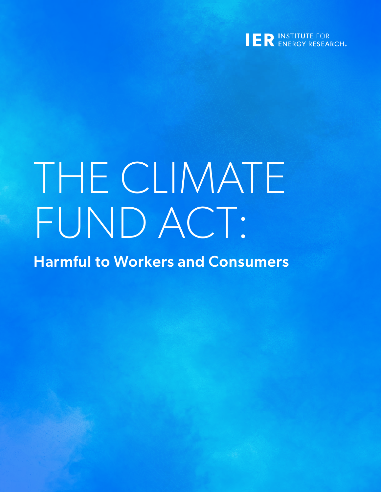

# THE CLIMATE FUND ACT:

Harmful to Workers and Consumers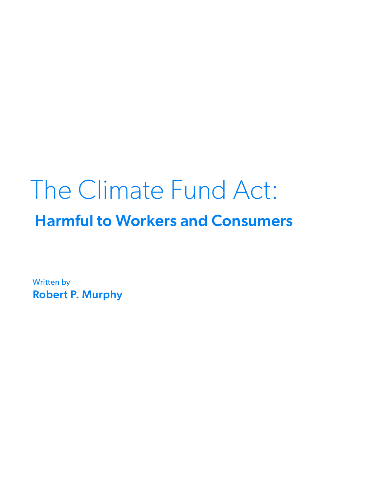# The Climate Fund Act: Harmful to Workers and Consumers

Written by Robert P. Murphy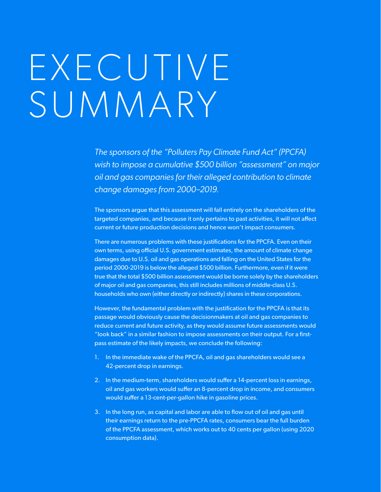# E X E C U T I V E SUMMARY

*The sponsors of the "Polluters Pay Climate Fund Act" (PPCFA) wish to impose a cumulative \$500 billion "assessment" on major oil and gas companies for their alleged contribution to climate change damages from 2000–2019.*

The sponsors argue that this assessment will fall entirely on the shareholders of the targeted companies, and because it only pertains to past activities, it will not affect current or future production decisions and hence won't impact consumers.

There are numerous problems with these justifications for the PPCFA. Even on their own terms, using official U.S. government estimates, the amount of climate change damages due to U.S. oil and gas operations and falling on the United States for the period 2000-2019 is below the alleged \$500 billion. Furthermore, even if it were true that the total \$500 billion assessment would be borne solely by the shareholders of major oil and gas companies, this still includes millions of middle-class U.S. households who own (either directly or indirectly) shares in these corporations.

However, the fundamental problem with the justification for the PPCFA is that its passage would obviously cause the decisionmakers at oil and gas companies to reduce current and future activity, as they would assume future assessments would "look back" in a similar fashion to impose assessments on their output. For a firstpass estimate of the likely impacts, we conclude the following:

- 1. In the immediate wake of the PPCFA, oil and gas shareholders would see a 42-percent drop in earnings.
- 2. In the medium-term, shareholders would suffer a 14-percent loss in earnings, oil and gas workers would suffer an 8-percent drop in income, and consumers would suffer a 13-cent-per-gallon hike in gasoline prices.
- 3. In the long run, as capital and labor are able to flow out of oil and gas until their earnings return to the pre-PPCFA rates, consumers bear the full burden of the PPCFA assessment, which works out to 40 cents per gallon (using 2020 consumption data).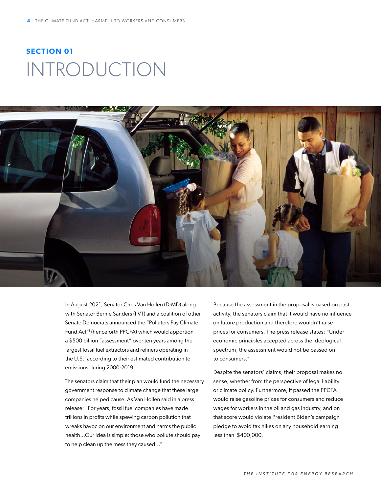### **SECTION 01** INTRODUCTION



In August 2021, Senator Chris Van Hollen (D-MD) along with Senator Bernie Sanders (I-VT) and a coalition of other Senate Democrats announced the "Polluters Pay Climate Fund Act"i (henceforth PPCFA) which would apportion a \$500 billion "assessment" over ten years among the largest fossil fuel extractors and refiners operating in the U.S., according to their estimated contribution to emissions during 2000-2019.

The senators claim that their plan would fund the necessary government response to climate change that these large companies helped cause. As Van Hollen said in a press release: "For years, fossil fuel companies have made trillions in profits while spewing carbon pollution that wreaks havoc on our environment and harms the public health...Our idea is simple: those who pollute should pay to help clean up the mess they caused..."

Because the assessment in the proposal is based on past activity, the senators claim that it would have no influence on future production and therefore wouldn't raise prices for consumers. The press release states: "Under economic principles accepted across the ideological spectrum, the assessment would not be passed on to consumers."

Despite the senators' claims, their proposal makes no sense, whether from the perspective of legal liability or climate policy. Furthermore, if passed the PPCFA would raise gasoline prices for consumers and reduce wages for workers in the oil and gas industry, and on that score would violate President Biden's campaign pledge to avoid tax hikes on any household earning less than \$400,000.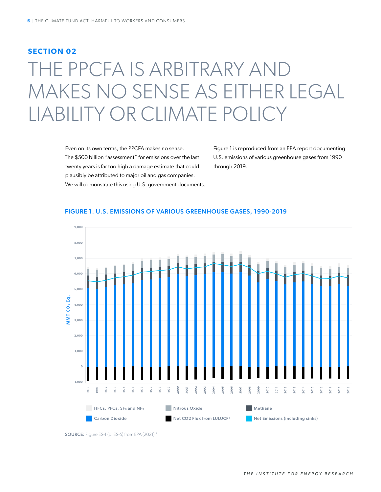### **SECTION 02**

## THE PPCFA IS ARBITRARY AND MAKES NO SENSE AS EITHER LEGAL LIABILITY OR CLIMATE POLICY

Even on its own terms, the PPCFA makes no sense. The \$500 billion "assessment" for emissions over the last twenty years is far too high a damage estimate that could plausibly be attributed to major oil and gas companies. We will demonstrate this using U.S. government documents. Figure 1 is reproduced from an EPA report documenting U.S. emissions of various greenhouse gases from 1990 through 2019.

#### FIGURE 1. U.S. EMISSIONS OF VARIOUS GREENHOUSE GASES, 1990-2019



SOURCE: Figure ES-1 (p. ES-5) from EPA (2021).ii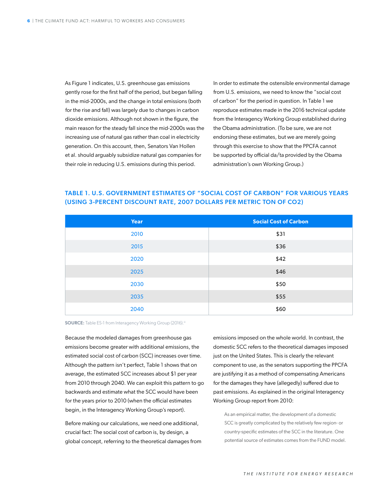As Figure 1 indicates, U.S. greenhouse gas emissions gently rose for the first half of the period, but began falling in the mid-2000s, and the change in total emissions (both for the rise and fall) was largely due to changes in carbon dioxide emissions. Although not shown in the figure, the main reason for the steady fall since the mid-2000s was the increasing use of natural gas rather than coal in electricity generation. On this account, then, Senators Van Hollen et al. should arguably subsidize natural gas companies for their role in reducing U.S. emissions during this period.

In order to estimate the ostensible environmental damage from U.S. emissions, we need to know the "social cost of carbon" for the period in question. In Table 1 we reproduce estimates made in the 2016 technical update from the Interagency Working Group established during the Obama administration. (To be sure, we are not endorsing these estimates, but we are merely going through this exercise to show that the PPCFA cannot be supported by official da/ta provided by the Obama administration's own Working Group.)

| <b>Year</b> | <b>Social Cost of Carbon</b> |  |  |
|-------------|------------------------------|--|--|
| 2010        | \$31                         |  |  |
| 2015        | \$36                         |  |  |
| 2020        | \$42                         |  |  |
| 2025        | \$46                         |  |  |
| 2030        | \$50                         |  |  |
| 2035        | \$55                         |  |  |
| 2040        | \$60                         |  |  |

### TABLE 1. U.S. GOVERNMENT ESTIMATES OF "SOCIAL COST OF CARBON" FOR VARIOUS YEARS (USING 3-PERCENT DISCOUNT RATE, 2007 DOLLARS PER METRIC TON OF CO2)

SOURCE: Table ES-1 from Interagency Working Group (2016).iii

Because the modeled damages from greenhouse gas emissions become greater with additional emissions, the estimated social cost of carbon (SCC) increases over time. Although the pattern isn't perfect, Table 1 shows that on average, the estimated SCC increases about \$1 per year from 2010 through 2040. We can exploit this pattern to go backwards and estimate what the SCC would have been for the years prior to 2010 (when the official estimates begin, in the Interagency Working Group's report).

Before making our calculations, we need one additional, crucial fact: The social cost of carbon is, by design, a global concept, referring to the theoretical damages from emissions imposed on the whole world. In contrast, the domestic SCC refers to the theoretical damages imposed just on the United States. This is clearly the relevant component to use, as the senators supporting the PPCFA are justifying it as a method of compensating Americans for the damages they have (allegedly) suffered due to past emissions. As explained in the original Interagency Working Group report from 2010:

As an empirical matter, the development of a domestic SCC is greatly complicated by the relatively few region- or country-specific estimates of the SCC in the literature. One potential source of estimates comes from the FUND model.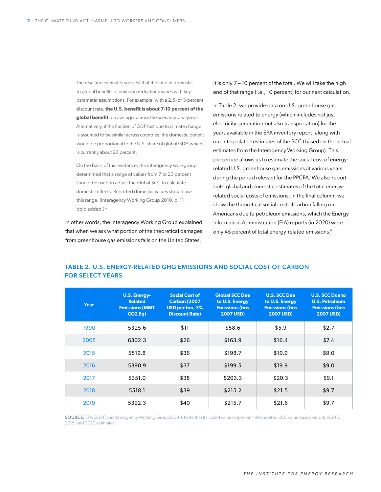The resulting estimates suggest that the ratio of domestic to global benefits of emission reductions varies with key parameter assumptions. For example, with a 2.5- or 3-percent discount rate, **the U.S. benefit is about 7-10 percent of the global benefit**, on average, across the scenarios analyzed. Alternatively, if the fraction of GDP lost due to climate change is assumed to be similar across countries, the domestic benefit would be proportional to the U.S. share of global GDP, which is currently about 23 percent.

On the basis of this evidence, the interagency workgroup determined that a range of values from 7 to 23 percent should be used to adjust the global SCC to calculate domestic effects. Reported domestic values should use this range. (Interagency Working Group 2010, p. 11, bold added.) iv

In other words, the Interagency Working Group explained that when we ask what portion of the theoretical damages from greenhouse gas emissions falls on the United States,

it is only 7 – 10 percent of the total. We will take the high end of that range (i.e., 10 percent) for our next calculation.

In Table 2, we provide data on U.S. greenhouse gas emissions related to energy (which includes not just electricity generation but also transportation) for the years available in the EPA inventory report, along with our interpolated estimates of the SCC (based on the actual estimates from the Interagency Working Group). This procedure allows us to estimate the social cost of energyrelated U.S. greenhouse gas emissions at various years during the period relevant for the PPCFA. We also report both global and domestic estimates of the total energyrelated social costs of emissions. In the final column, we show the theoretical social cost of carbon falling on Americans due to petroleum emissions, which the Energy Information Administration (EIA) reports (in 2020) were only 45 percent of total energy-related emissions.<sup>V</sup>

### TABLE 2. U.S. ENERGY-RELATED GHG EMISSIONS AND SOCIAL COST OF CARBON FOR SELECT YEARS

| Year | <b>U.S. Energy-</b><br><b>Related</b><br><b>Emissions (MMT</b><br>$CO2$ Eq) | <b>Social Cost of</b><br><b>Carbon (2007)</b><br>USD per ton, 3%<br><b>Discount Rate)</b> | <b>Global SCC Due</b><br>to U.S. Energy<br><b>Emissions (bns)</b><br><b>2007 USD)</b> | <b>U.S. SCC Due</b><br>to U.S. Energy<br><b>Emissions (bns</b><br><b>2007 USD)</b> | <b>U.S. SCC Due to</b><br><b>U.S. Petroleum</b><br><b>Emissions (bns</b><br><b>2007 USD)</b> |
|------|-----------------------------------------------------------------------------|-------------------------------------------------------------------------------------------|---------------------------------------------------------------------------------------|------------------------------------------------------------------------------------|----------------------------------------------------------------------------------------------|
| 1990 | 5325.6                                                                      | \$11                                                                                      | \$58.6                                                                                | \$5.9                                                                              | \$2.7                                                                                        |
| 2005 | 6302.3                                                                      | \$26                                                                                      | \$163.9                                                                               | \$16.4                                                                             | \$7.4                                                                                        |
| 2015 | 5519.8                                                                      | \$36                                                                                      | \$198.7                                                                               | \$19.9                                                                             | \$9.0                                                                                        |
| 2016 | 5390.9                                                                      | \$37                                                                                      | \$199.5                                                                               | \$19.9                                                                             | \$9.0                                                                                        |
| 2017 | 5351.0                                                                      | \$38                                                                                      | \$203.3                                                                               | \$20.3                                                                             | \$9.1                                                                                        |
| 2018 | 5518.1                                                                      | \$39                                                                                      | \$215.2                                                                               | \$21.5                                                                             | \$9.7                                                                                        |
| 2019 | 5392.3                                                                      | \$40                                                                                      | \$215.7                                                                               | \$21.6                                                                             | \$9.7                                                                                        |

SOURCE: EPA (2021) and Interagency Working Group (2016). Note that italicized values represent interpolated SCC value based on actual 2010, 2015, and 2020 estimates.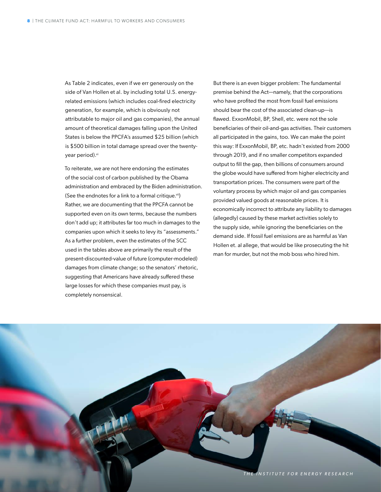As Table 2 indicates, even if we err generously on the side of Van Hollen et al. by including total U.S. energyrelated emissions (which includes coal-fired electricity generation, for example, which is obviously not attributable to major oil and gas companies), the annual amount of theoretical damages falling upon the United States is below the PPCFA's assumed \$25 billion (which is \$500 billion in total damage spread over the twentyyear period).<sup>vi</sup>

To reiterate, we are not here endorsing the estimates of the social cost of carbon published by the Obama administration and embraced by the Biden administration. (See the endnotes for a link to a formal critique.vii) Rather, we are documenting that the PPCFA cannot be supported even on its own terms, because the numbers don't add up; it attributes far too much in damages to the companies upon which it seeks to levy its "assessments." As a further problem, even the estimates of the SCC used in the tables above are primarily the result of the present-discounted-value of future (computer-modeled) damages from climate change; so the senators' rhetoric, suggesting that Americans have already suffered these large losses for which these companies must pay, is completely nonsensical.

But there is an even bigger problem: The fundamental premise behind the Act—namely, that the corporations who have profited the most from fossil fuel emissions should bear the cost of the associated clean-up—is flawed. ExxonMobil, BP, Shell, etc. were not the sole beneficiaries of their oil-and-gas activities. Their customers all participated in the gains, too. We can make the point this way: If ExxonMobil, BP, etc. hadn't existed from 2000 through 2019, and if no smaller competitors expanded output to fill the gap, then billions of consumers around the globe would have suffered from higher electricity and transportation prices. The consumers were part of the voluntary process by which major oil and gas companies provided valued goods at reasonable prices. It is economically incorrect to attribute any liability to damages (allegedly) caused by these market activities solely to the supply side, while ignoring the beneficiaries on the demand side. If fossil fuel emissions are as harmful as Van Hollen et. al allege, that would be like prosecuting the hit man for murder, but not the mob boss who hired him.

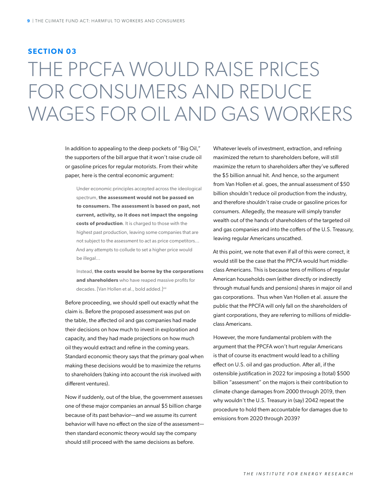### **SECTION 03**

## THE PPCFA WOULD RAISE PRICES FOR CONSUMERS AND REDUCE WAGES FOR OIL AND GAS WORKERS

In addition to appealing to the deep pockets of "Big Oil," the supporters of the bill argue that it won't raise crude oil or gasoline prices for regular motorists. From their white paper, here is the central economic argument:

Under economic principles accepted across the ideological spectrum, **the assessment would not be passed on to consumers. The assessment is based on past, not current, activity, so it does not impact the ongoing costs of production**. It is charged to those with the highest past production, leaving some companies that are not subject to the assessment to act as price competitors... And any attempts to collude to set a higher price would be illegal...

Instead, **the costs would be borne by the corporations and shareholders** who have reaped massive profits for decades. [Van Hollen et al., bold added.]<sup>viii</sup>

Before proceeding, we should spell out exactly what the claim is. Before the proposed assessment was put on the table, the affected oil and gas companies had made their decisions on how much to invest in exploration and capacity, and they had made projections on how much oil they would extract and refine in the coming years. Standard economic theory says that the primary goal when making these decisions would be to maximize the returns to shareholders (taking into account the risk involved with different ventures).

Now if suddenly, out of the blue, the government assesses one of these major companies an annual \$5 billion charge because of its past behavior—and we assume its current behavior will have no effect on the size of the assessment then standard economic theory would say the company should still proceed with the same decisions as before.

Whatever levels of investment, extraction, and refining maximized the return to shareholders before, will still maximize the return to shareholders after they've suffered the \$5 billion annual hit. And hence, so the argument from Van Hollen et al. goes, the annual assessment of \$50 billion shouldn't reduce oil production from the industry, and therefore shouldn't raise crude or gasoline prices for consumers. Allegedly, the measure will simply transfer wealth out of the hands of shareholders of the targeted oil and gas companies and into the coffers of the U.S. Treasury, leaving regular Americans unscathed.

At this point, we note that even if all of this were correct, it would still be the case that the PPCFA would hurt middleclass Americans. This is because tens of millions of regular American households own (either directly or indirectly through mutual funds and pensions) shares in major oil and gas corporations. Thus when Van Hollen et al. assure the public that the PPCFA will only fall on the shareholders of giant corporations, they are referring to millions of middleclass Americans.

However, the more fundamental problem with the argument that the PPCFA won't hurt regular Americans is that of course its enactment would lead to a chilling effect on U.S. oil and gas production. After all, if the ostensible justification in 2022 for imposing a (total) \$500 billion "assessment" on the majors is their contribution to climate change damages from 2000 through 2019, then why wouldn't the U.S. Treasury in (say) 2042 repeat the procedure to hold them accountable for damages due to emissions from 2020 through 2039?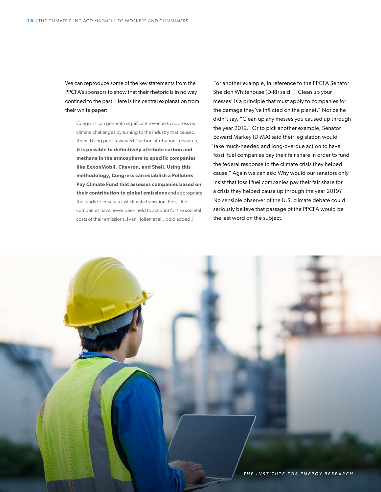We can reproduce some of the key statements from the PPCFA's sponsors to show that their rhetoric is in no way confined to the past. Here is the central explanation from their white paper:

Congress can generate significant revenue to address our climate challenges by turning to the industry that caused them. Using peer-reviewed "carbon attribution" research, **it is possible to definitively attribute carbon and methane in the atmosphere to specific companies like ExxonMobil, Chevron, and Shell. Using this methodology, Congress can establish a Polluters Pay Climate Fund that assesses companies based on their contribution to global emissions** and appropriate the funds to ensure a just climate transition. Fossil fuel companies have never been held to account for the societal costs of their emissions. [Van Hollen et al., bold added.]

For another example, in reference to the PPCFA Senator Sheldon Whitehouse (D-RI) said, "'Clean up your messes' is a principle that must apply to companies for the damage they've inflicted on the planet." Notice he didn't say, "Clean up any messes you caused up through the year 2019." Or to pick another example, Senator Edward Markey (D-MA) said their legislation would "take much-needed and long-overdue action to have fossil fuel companies pay their fair share in order to fund the federal response to the climate crisis they helped cause." Again we can ask: Why would our senators only insist that fossil fuel companies pay their fair share for a crisis they helped cause up through the year 2019? No sensible observer of the U.S. climate debate could seriously believe that passage of the PPCFA would be the last word on the subject.

*THE INSTITUTE FOR ENERGY RESEARCH*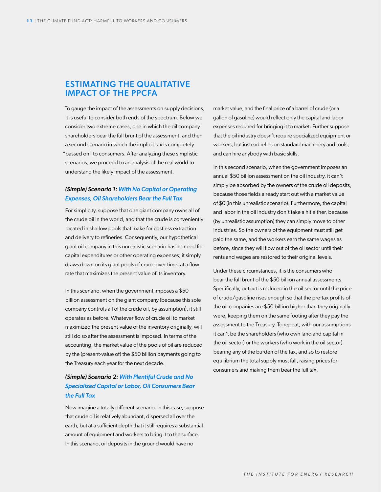### ESTIMATING THE QUALITATIVE IMPACT OF THE PPCFA

To gauge the impact of the assessments on supply decisions, it is useful to consider both ends of the spectrum. Below we consider two extreme cases, one in which the oil company shareholders bear the full brunt of the assessment, and then a second scenario in which the implicit tax is completely "passed on" to consumers. After analyzing these simplistic scenarios, we proceed to an analysis of the real world to understand the likely impact of the assessment.

#### *(Simple) Scenario 1: With No Capital or Operating Expenses, Oil Shareholders Bear the Full Tax*

For simplicity, suppose that one giant company owns all of the crude oil in the world, and that the crude is conveniently located in shallow pools that make for costless extraction and delivery to refineries. Consequently, our hypothetical giant oil company in this unrealistic scenario has no need for capital expenditures or other operating expenses; it simply draws down on its giant pools of crude over time, at a flow rate that maximizes the present value of its inventory.

In this scenario, when the government imposes a \$50 billion assessment on the giant company (because this sole company controls all of the crude oil, by assumption), it still operates as before. Whatever flow of crude oil to market maximized the present-value of the inventory originally, will still do so after the assessment is imposed. In terms of the accounting, the market value of the pools of oil are reduced by the (present-value of) the \$50 billion payments going to the Treasury each year for the next decade.

### *(Simple) Scenario 2: With Plentiful Crude and No Specialized Capital or Labor, Oil Consumers Bear the Full Tax*

Now imagine a totally different scenario. In this case, suppose that crude oil is relatively abundant, dispersed all over the earth, but at a sufficient depth that it still requires a substantial amount of equipment and workers to bring it to the surface. In this scenario, oil deposits in the ground would have no

market value, and the final price of a barrel of crude (or a gallon of gasoline) would reflect only the capital and labor expenses required for bringing it to market. Further suppose that the oil industry doesn't require specialized equipment or workers, but instead relies on standard machinery and tools, and can hire anybody with basic skills.

In this second scenario, when the government imposes an annual \$50 billion assessment on the oil industry, it can't simply be absorbed by the owners of the crude oil deposits, because those fields already start out with a market value of \$0 (in this unrealistic scenario). Furthermore, the capital and labor in the oil industry don't take a hit either, because (by unrealistic assumption) they can simply move to other industries. So the owners of the equipment must still get paid the same, and the workers earn the same wages as before, since they will flow out of the oil sector until their rents and wages are restored to their original levels.

Under these circumstances, it is the consumers who bear the full brunt of the \$50 billion annual assessments. Specifically, output is reduced in the oil sector until the price of crude/gasoline rises enough so that the pre-tax profits of the oil companies are \$50 billion higher than they originally were, keeping them on the same footing after they pay the assessment to the Treasury. To repeat, with our assumptions it can't be the shareholders (who own land and capital in the oil sector) or the workers (who work in the oil sector) bearing any of the burden of the tax, and so to restore equilibrium the total supply must fall, raising prices for consumers and making them bear the full tax.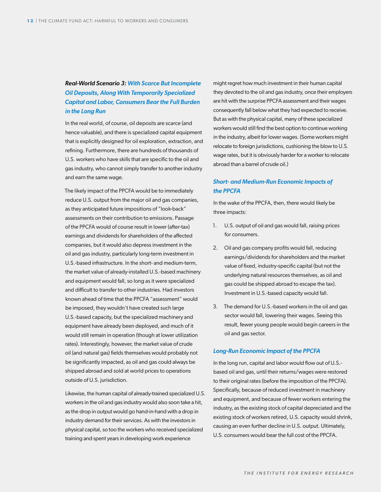### *Real-World Scenario 3: With Scarce But Incomplete Oil Deposits, Along With Temporarily Specialized Capital and Labor, Consumers Bear the Full Burden in the Long Run*

In the real world, of course, oil deposits are scarce (and hence valuable), and there is specialized capital equipment that is explicitly designed for oil exploration, extraction, and refining. Furthermore, there are hundreds of thousands of U.S. workers who have skills that are specific to the oil and gas industry, who cannot simply transfer to another industry and earn the same wage.

The likely impact of the PPCFA would be to immediately reduce U.S. output from the major oil and gas companies, as they anticipated future impositions of "look-back" assessments on their contribution to emissions. Passage of the PPCFA would of course result in lower (after-tax) earnings and dividends for shareholders of the affected companies, but it would also depress investment in the oil and gas industry, particularly long-term investment in U.S.-based infrastructure. In the short- and medium-term, the market value of already-installed U.S.-based machinery and equipment would fall, so long as it were specialized and difficult to transfer to other industries. Had investors known ahead of time that the PPCFA "assessment" would be imposed, they wouldn't have created such large U.S.-based capacity, but the specialized machinery and equipment have already been deployed, and much of it would still remain in operation (though at lower utilization rates). Interestingly, however, the market value of crude oil (and natural gas) fields themselves would probably not be significantly impacted, as oil and gas could always be shipped abroad and sold at world prices to operations outside of U.S. jurisdiction.

Likewise, the human capital of already-trained specialized U.S. workers in the oil and gas industry would also soon take a hit, as the drop in output would go hand-in-hand with a drop in industry demand for their services. As with the investors in physical capital, so too the workers who received specialized training and spent years in developing work experience

might regret how much investment in their human capital they devoted to the oil and gas industry, once their employers are hit with the surprise PPCFA assessment and their wages consequently fall below what they had expected to receive. But as with the physical capital, many of these specialized workers would still find the best option to continue working in the industry, albeit for lower wages. (Some workers might relocate to foreign jurisdictions, cushioning the blow to U.S. wage rates, but it is obviously harder for a worker to relocate abroad than a barrel of crude oil.)

### *Short- and Medium-Run Economic Impacts of the PPCFA*

In the wake of the PPCFA, then, there would likely be three impacts:

- 1. U.S. output of oil and gas would fall, raising prices for consumers.
- 2. Oil and gas company profits would fall, reducing earnings/dividends for shareholders and the market value of fixed, industry-specific capital (but not the underlying natural resources themselves, as oil and gas could be shipped abroad to escape the tax). Investment in U.S.-based capacity would fall.
- 3. The demand for U.S.-based workers in the oil and gas sector would fall, lowering their wages. Seeing this result, fewer young people would begin careers in the oil and gas sector.

#### *Long-Run Economic Impact of the PPCFA*

In the long run, capital and labor would flow out of U.S. based oil and gas, until their returns/wages were restored to their original rates (before the imposition of the PPCFA). Specifically, because of reduced investment in machinery and equipment, and because of fewer workers entering the industry, as the existing stock of capital depreciated and the existing stock of workers retired, U.S. capacity would shrink, causing an even further decline in U.S. output. Ultimately, U.S. consumers would bear the full cost of the PPCFA.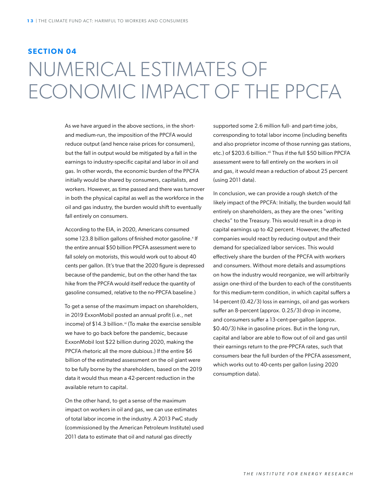### **SECTION 04** NUMERICAL ESTIMATES OF ECONOMIC IMPACT OF THE PPCFA

As we have argued in the above sections, in the shortand medium-run, the imposition of the PPCFA would reduce output (and hence raise prices for consumers), but the fall in output would be mitigated by a fall in the earnings to industry-specific capital and labor in oil and gas. In other words, the economic burden of the PPCFA initially would be shared by consumers, capitalists, and workers. However, as time passed and there was turnover in both the physical capital as well as the workforce in the oil and gas industry, the burden would shift to eventually fall entirely on consumers.

According to the EIA, in 2020, Americans consumed some 123.8 billion gallons of finished motor gasoline.<sup>x</sup> If the entire annual \$50 billion PPCFA assessment were to fall solely on motorists, this would work out to about 40 cents per gallon. (It's true that the 2020 figure is depressed because of the pandemic, but on the other hand the tax hike from the PPCFA would itself reduce the quantity of gasoline consumed, relative to the no-PPCFA baseline.)

To get a sense of the maximum impact on shareholders, in 2019 ExxonMobil posted an annual profit (i.e., net income) of \$14.3 billion.<sup>xi</sup> (To make the exercise sensible we have to go back before the pandemic, because ExxonMobil lost \$22 billion during 2020, making the PPCFA rhetoric all the more dubious.) If the entire \$6 billion of the estimated assessment on the oil giant were to be fully borne by the shareholders, based on the 2019 data it would thus mean a 42-percent reduction in the available return to capital.

On the other hand, to get a sense of the maximum impact on workers in oil and gas, we can use estimates of total labor income in the industry. A 2013 PwC study (commissioned by the American Petroleum Institute) used 2011 data to estimate that oil and natural gas directly

supported some 2.6 million full- and part-time jobs, corresponding to total labor income (including benefits and also proprietor income of those running gas stations, etc.) of \$203.6 billion.<sup>xii</sup> Thus if the full \$50 billion PPCFA assessment were to fall entirely on the workers in oil and gas, it would mean a reduction of about 25 percent (using 2011 data).

In conclusion, we can provide a rough sketch of the likely impact of the PPCFA: Initially, the burden would fall entirely on shareholders, as they are the ones "writing checks" to the Treasury. This would result in a drop in capital earnings up to 42 percent. However, the affected companies would react by reducing output and their demand for specialized labor services. This would effectively share the burden of the PPCFA with workers and consumers. Without more details and assumptions on how the industry would reorganize, we will arbitrarily assign one-third of the burden to each of the constituents for this medium-term condition, in which capital suffers a 14-percent (0.42/3) loss in earnings, oil and gas workers suffer an 8-percent (approx. 0.25/3) drop in income, and consumers suffer a 13-cent-per-gallon (approx. \$0.40/3) hike in gasoline prices. But in the long run, capital and labor are able to flow out of oil and gas until their earnings return to the pre-PPCFA rates, such that consumers bear the full burden of the PPCFA assessment, which works out to 40-cents per gallon (using 2020 consumption data).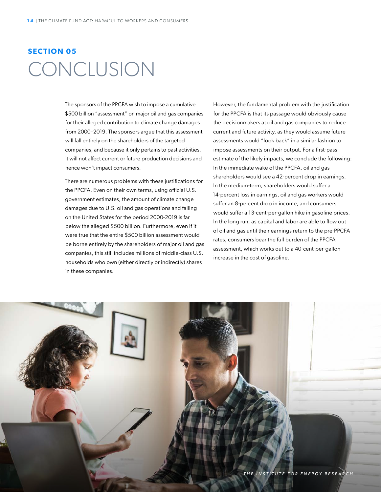### **SECTION 05** CONCLUSION

The sponsors of the PPCFA wish to impose a cumulative \$500 billion "assessment" on major oil and gas companies for their alleged contribution to climate change damages from 2000–2019. The sponsors argue that this assessment will fall entirely on the shareholders of the targeted companies, and because it only pertains to past activities, it will not affect current or future production decisions and hence won't impact consumers.

There are numerous problems with these justifications for the PPCFA. Even on their own terms, using official U.S. government estimates, the amount of climate change damages due to U.S. oil and gas operations and falling on the United States for the period 2000-2019 is far below the alleged \$500 billion. Furthermore, even if it were true that the entire \$500 billion assessment would be borne entirely by the shareholders of major oil and gas companies, this still includes millions of middle-class U.S. households who own (either directly or indirectly) shares in these companies.

However, the fundamental problem with the justification for the PPCFA is that its passage would obviously cause the decisionmakers at oil and gas companies to reduce current and future activity, as they would assume future assessments would "look back" in a similar fashion to impose assessments on their output. For a first-pass estimate of the likely impacts, we conclude the following: In the immediate wake of the PPCFA, oil and gas shareholders would see a 42-percent drop in earnings. In the medium-term, shareholders would suffer a 14-percent loss in earnings, oil and gas workers would suffer an 8-percent drop in income, and consumers would suffer a 13-cent-per-gallon hike in gasoline prices. In the long run, as capital and labor are able to flow out of oil and gas until their earnings return to the pre-PPCFA rates, consumers bear the full burden of the PPCFA assessment, which works out to a 40-cent-per-gallon increase in the cost of gasoline.

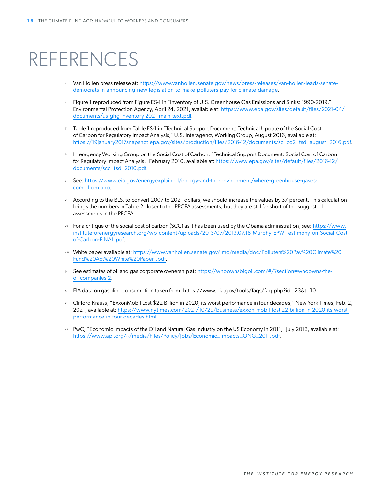### REFERENCES

- <sup>i</sup> Van Hollen press release at: [https://www.vanhollen.senate.gov/news/press-releases/van-hollen-leads-senate](https://www.vanhollen.senate.gov/news/press-releases/van-hollen-leads-senate-democrats-in-announcing-new-legislation-to-make-polluters-pay-for-climate-damage)[democrats-in-announcing-new-legislation-to-make-polluters-pay-for-climate-damage](https://www.vanhollen.senate.gov/news/press-releases/van-hollen-leads-senate-democrats-in-announcing-new-legislation-to-make-polluters-pay-for-climate-damage).
- $ii$  Figure 1 reproduced from Figure ES-1 in "Inventory of U.S. Greenhouse Gas Emissions and Sinks: 1990-2019," Environmental Protection Agency, April 24, 2021, available at: [https://www.epa.gov/sites/default/files/2021-04/](https://www.epa.gov/sites/default/files/2021-04/documents/us-ghg-inventory-2021-main-text.pdf) [documents/us-ghg-inventory-2021-main-text.pdf.](https://www.epa.gov/sites/default/files/2021-04/documents/us-ghg-inventory-2021-main-text.pdf)
- iii Table 1 reproduced from Table ES-1 in "Technical Support Document: Technical Update of the Social Cost of Carbon for Regulatory Impact Analysis," U.S. Interagency Working Group, August 2016, available at: [https://19january2017snapshot.epa.gov/sites/production/files/2016-12/documents/sc\\_co2\\_tsd\\_august\\_2016.pdf](https://19january2017snapshot.epa.gov/sites/production/files/2016-12/documents/sc_co2_tsd_august_2016.pdf).
- iv Interagency Working Group on the Social Cost of Carbon, "Technical Support Document: Social Cost of Carbon for Regulatory Impact Analysis," February 2010, available at: [https://www.epa.gov/sites/default/files/2016-12/](https://www.epa.gov/sites/default/files/2016-12/documents/scc_tsd_2010.pdf) [documents/scc\\_tsd\\_2010.pdf](https://www.epa.gov/sites/default/files/2016-12/documents/scc_tsd_2010.pdf).
- <sup>v</sup> See: [https://www.eia.gov/energyexplained/energy-and-the-environment/where-greenhouse-gases](https://www.eia.gov/energyexplained/energy-and-the-environment/where-greenhouse-gases-come-from.php)[come from php.](https://www.eia.gov/energyexplained/energy-and-the-environment/where-greenhouse-gases-come-from.php)
- vi According to the BLS, to convert 2007 to 2021 dollars, we should increase the values by 37 percent. This calculation brings the numbers in Table 2 closer to the PPCFA assessments, but they are still far short of the suggested assessments in the PPCFA.
- vii For a critique of the social cost of carbon (SCC) as it has been used by the Obama administration, see: [https://www.](https://www.instituteforenergyresearch.org/wp-content/uploads/2013/07/2013.07.18-Murphy-EPW-Testimony-on-Social-Cost-of-Carbon-FINAL.pdf) [instituteforenergyresearch.org/wp-content/uploads/2013/07/2013.07.18-Murphy-EPW-Testimony-on-Social-Cost](https://www.instituteforenergyresearch.org/wp-content/uploads/2013/07/2013.07.18-Murphy-EPW-Testimony-on-Social-Cost-of-Carbon-FINAL.pdf)[of-Carbon-FINAL.pdf](https://www.instituteforenergyresearch.org/wp-content/uploads/2013/07/2013.07.18-Murphy-EPW-Testimony-on-Social-Cost-of-Carbon-FINAL.pdf).
- viii White paper available at: [https://www.vanhollen.senate.gov/imo/media/doc/Polluters%20Pay%20Climate%20](https://www.vanhollen.senate.gov/imo/media/doc/Polluters%20Pay%20Climate%20Fund%20Act%20White%20Paper1.pdf) [Fund%20Act%20White%20Paper1.pdf](https://www.vanhollen.senate.gov/imo/media/doc/Polluters%20Pay%20Climate%20Fund%20Act%20White%20Paper1.pdf).
- ix See estimates of oil and gas corporate ownership at: [https://whoownsbigoil.com/#/?section=whoowns-the](https://whoownsbigoil.com/#/?section=whoowns-the-oil-companies-2)[oil companies-2](https://whoownsbigoil.com/#/?section=whoowns-the-oil-companies-2).
- <sup>x</sup> EIA data on gasoline consumption taken from: https://www.eia.gov/tools/faqs/faq.php?id=23&t=10
- xi Clifford Krauss, "ExxonMobil Lost \$22 Billion in 2020, its worst performance in four decades," New York Times, Feb. 2, 2021, available at: [https://www.nytimes.com/2021/10/29/business/exxon-mobil-lost-22-billion-in-2020-its-worst](https://www.nytimes.com/2021/10/29/business/exxon-mobil-lost-22-billion-in-2020-its-worst-performanc)[performance-in-four-decades.html](https://www.nytimes.com/2021/10/29/business/exxon-mobil-lost-22-billion-in-2020-its-worst-performanc).
- xii PwC, "Economic Impacts of the Oil and Natural Gas Industry on the US Economy in 2011," July 2013, available at: [https://www.api.org/~/media/Files/Policy/Jobs/Economic\\_Impacts\\_ONG\\_2011.pdf](https://www.api.org/~/media/Files/Policy/Jobs/Economic_Impacts_ONG_2011.pdf).